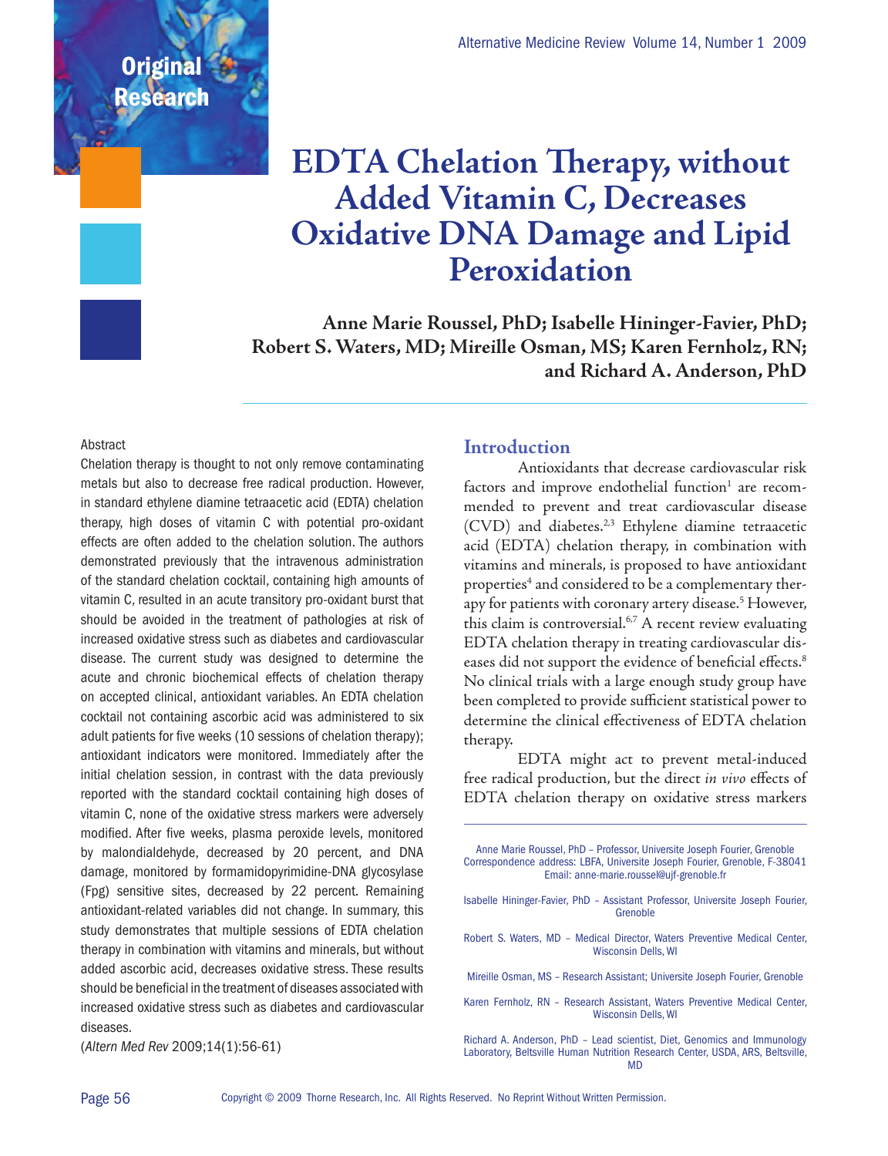## **EDTA Chelation Therapy, without Added Vitamin C, Decreases Oxidative DNA Damage and Lipid Peroxidation**

**Anne Marie Roussel, PhD; Isabelle Hininger-Favier, PhD; Robert S. Waters, MD; Mireille Osman, MS; Karen Fernholz, RN; and Richard A. Anderson, PhD**

#### **Abstract**

**Original** 

Researc

Chelation therapy is thought to not only remove contaminating metals but also to decrease free radical production. However, in standard ethylene diamine tetraacetic acid (EDTA) chelation therapy, high doses of vitamin C with potential pro-oxidant effects are often added to the chelation solution. The authors demonstrated previously that the intravenous administration of the standard chelation cocktail, containing high amounts of vitamin C, resulted in an acute transitory pro-oxidant burst that should be avoided in the treatment of pathologies at risk of increased oxidative stress such as diabetes and cardiovascular disease. The current study was designed to determine the acute and chronic biochemical effects of chelation therapy on accepted clinical, antioxidant variables. An EDTA chelation cocktail not containing ascorbic acid was administered to six adult patients for five weeks (10 sessions of chelation therapy); antioxidant indicators were monitored. Immediately after the initial chelation session, in contrast with the data previously reported with the standard cocktail containing high doses of vitamin C, none of the oxidative stress markers were adversely modified. After five weeks, plasma peroxide levels, monitored by malondialdehyde, decreased by 20 percent, and DNA damage, monitored by formamidopyrimidine-DNA glycosylase (Fpg) sensitive sites, decreased by 22 percent. Remaining antioxidant-related variables did not change. In summary, this study demonstrates that multiple sessions of EDTA chelation therapy in combination with vitamins and minerals, but without added ascorbic acid, decreases oxidative stress. These results should be beneficial in the treatment of diseases associated with increased oxidative stress such as diabetes and cardiovascular diseases.

#### **Introduction**

Antioxidants that decrease cardiovascular risk factors and improve endothelial function $^1$  are recommended to prevent and treat cardiovascular disease (CVD) and diabetes.<sup>2,3</sup> Ethylene diamine tetraacetic acid (EDTA) chelation therapy, in combination with vitamins and minerals, is proposed to have antioxidant properties<sup>4</sup> and considered to be a complementary therapy for patients with coronary artery disease.<sup>5</sup> However, this claim is controversial.<sup>6,7</sup> A recent review evaluating EDTA chelation therapy in treating cardiovascular diseases did not support the evidence of beneficial effects.<sup>8</sup> No clinical trials with a large enough study group have been completed to provide sufficient statistical power to determine the clinical effectiveness of EDTA chelation therapy.

EDTA might act to prevent metal-induced free radical production, but the direct *in vivo* effects of EDTA chelation therapy on oxidative stress markers

| Anne Marie Roussel, PhD - Professor, Universite Joseph Fourier, Grenoble<br>Correspondence address: LBFA, Universite Joseph Fourier, Grenoble, F-38041<br>Email: anne-marie.roussel@ujf-grenoble.fr |
|-----------------------------------------------------------------------------------------------------------------------------------------------------------------------------------------------------|
| Isabelle Hininger-Favier, PhD - Assistant Professor, Universite Joseph Fourier,<br>Grenoble                                                                                                         |
| Robert S. Waters, MD - Medical Director, Waters Preventive Medical Center,<br><b>Wisconsin Dells, WI</b>                                                                                            |
| Mireille Osman, MS - Research Assistant; Universite Joseph Fourier, Grenoble                                                                                                                        |
| Karen Fernholz, RN - Research Assistant, Waters Preventive Medical Center,<br><b>Wisconsin Dells, WI</b>                                                                                            |
| Richard A. Anderson, PhD - Lead scientist, Diet, Genomics and Immunology<br>Laboratory, Beltsville Human Nutrition Research Center, USDA, ARS, Beltsville,                                          |

(*Altern Med Rev* 2009;14(1):56-61)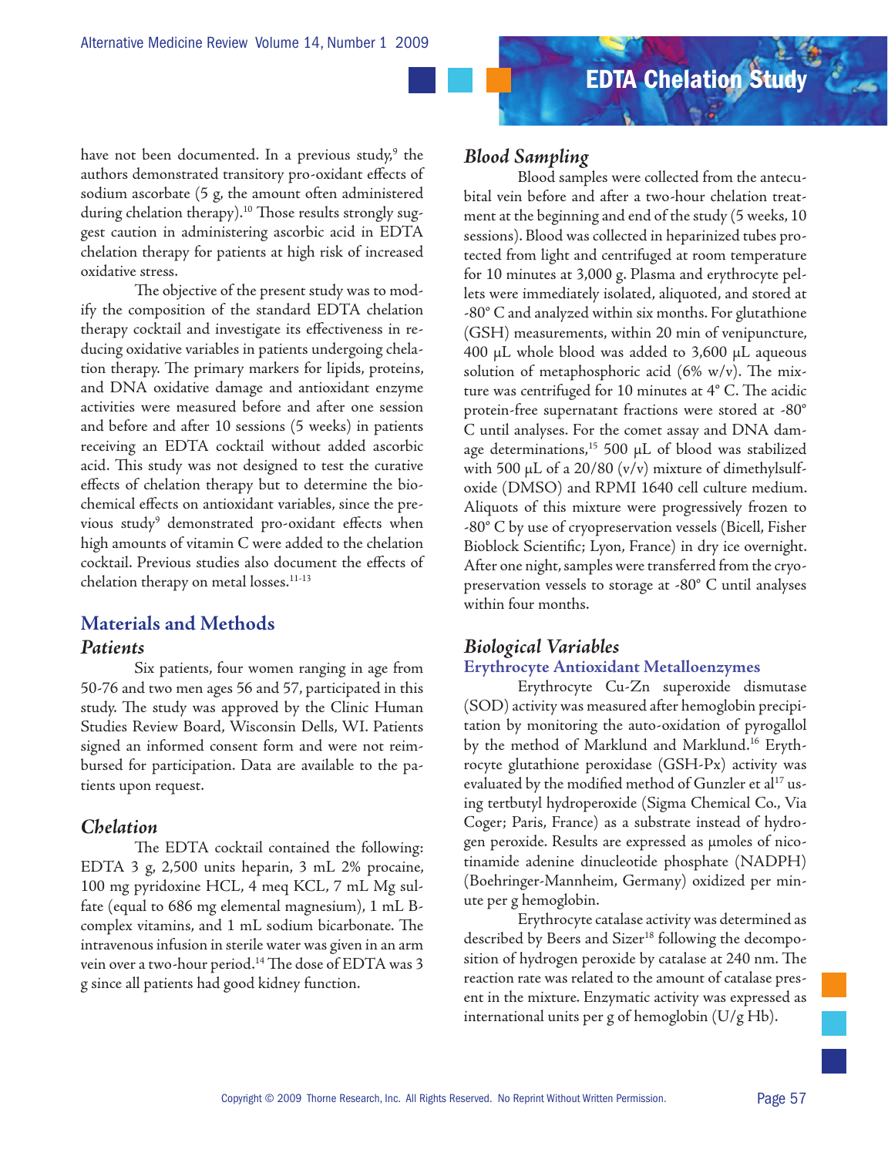have not been documented. In a previous study,<sup>9</sup> the authors demonstrated transitory pro-oxidant effects of sodium ascorbate (5 g, the amount often administered during chelation therapy).<sup>10</sup> Those results strongly suggest caution in administering ascorbic acid in EDTA chelation therapy for patients at high risk of increased oxidative stress.

The objective of the present study was to modify the composition of the standard EDTA chelation therapy cocktail and investigate its effectiveness in reducing oxidative variables in patients undergoing chelation therapy. The primary markers for lipids, proteins, and DNA oxidative damage and antioxidant enzyme activities were measured before and after one session and before and after 10 sessions (5 weeks) in patients receiving an EDTA cocktail without added ascorbic acid. This study was not designed to test the curative effects of chelation therapy but to determine the biochemical effects on antioxidant variables, since the previous study<sup>9</sup> demonstrated pro-oxidant effects when high amounts of vitamin C were added to the chelation cocktail. Previous studies also document the effects of chelation therapy on metal losses.<sup>11-13</sup>

## **Materials and Methods**

#### *Patients*

Six patients, four women ranging in age from 50-76 and two men ages 56 and 57, participated in this study. The study was approved by the Clinic Human Studies Review Board, Wisconsin Dells, WI. Patients signed an informed consent form and were not reimbursed for participation. Data are available to the patients upon request.

## *Chelation*

The EDTA cocktail contained the following: EDTA 3 g, 2,500 units heparin, 3 mL 2% procaine, 100 mg pyridoxine HCL, 4 meq KCL, 7 mL Mg sulfate (equal to 686 mg elemental magnesium), 1 mL Bcomplex vitamins, and 1 mL sodium bicarbonate. The intravenous infusion in sterile water was given in an arm vein over a two-hour period.<sup>14</sup> The dose of EDTA was 3 g since all patients had good kidney function.

## *Blood Sampling*

Blood samples were collected from the antecubital vein before and after a two-hour chelation treatment at the beginning and end of the study (5 weeks, 10 sessions). Blood was collected in heparinized tubes protected from light and centrifuged at room temperature for 10 minutes at 3,000 g. Plasma and erythrocyte pellets were immediately isolated, aliquoted, and stored at -80° C and analyzed within six months. For glutathione (GSH) measurements, within 20 min of venipuncture, 400 µL whole blood was added to 3,600 µL aqueous solution of metaphosphoric acid  $(6\% \t w/v)$ . The mixture was centrifuged for 10 minutes at 4° C. The acidic protein-free supernatant fractions were stored at -80° C until analyses. For the comet assay and DNA damage determinations,<sup>15</sup> 500  $\mu$ L of blood was stabilized with 500  $\mu$ L of a 20/80 (v/v) mixture of dimethylsulfoxide (DMSO) and RPMI 1640 cell culture medium. Aliquots of this mixture were progressively frozen to -80° C by use of cryopreservation vessels (Bicell, Fisher Bioblock Scientific; Lyon, France) in dry ice overnight. After one night, samples were transferred from the cryopreservation vessels to storage at -80° C until analyses within four months.

## *Biological Variables*

#### **Erythrocyte Antioxidant Metalloenzymes**

Erythrocyte Cu-Zn superoxide dismutase (SOD) activity was measured after hemoglobin precipitation by monitoring the auto-oxidation of pyrogallol by the method of Marklund and Marklund.16 Erythrocyte glutathione peroxidase (GSH-Px) activity was evaluated by the modified method of Gunzler et al<sup>17</sup> using tertbutyl hydroperoxide (Sigma Chemical Co., Via Coger; Paris, France) as a substrate instead of hydrogen peroxide. Results are expressed as µmoles of nicotinamide adenine dinucleotide phosphate (NADPH) (Boehringer-Mannheim, Germany) oxidized per minute per g hemoglobin.

Erythrocyte catalase activity was determined as described by Beers and Sizer<sup>18</sup> following the decomposition of hydrogen peroxide by catalase at 240 nm. The reaction rate was related to the amount of catalase present in the mixture. Enzymatic activity was expressed as international units per g of hemoglobin (U/g Hb).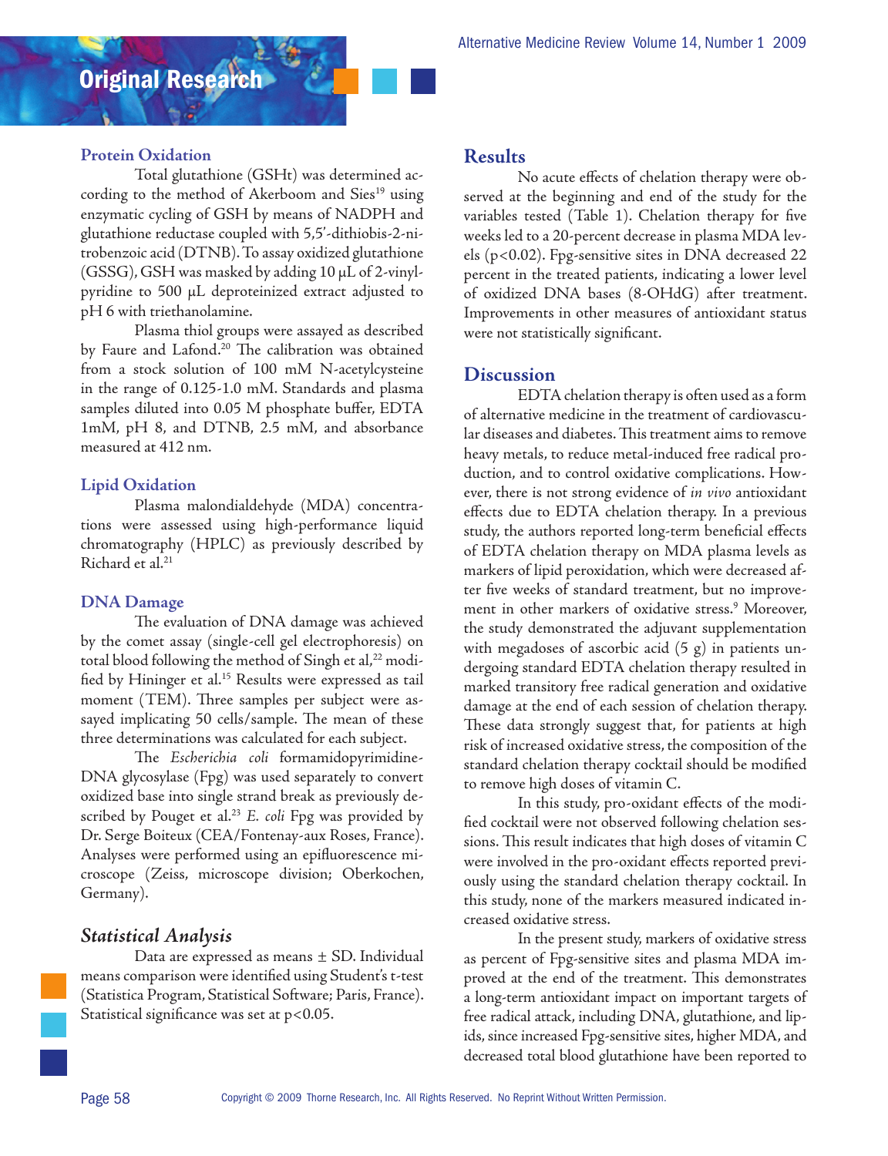#### **Protein Oxidation**

Total glutathione (GSHt) was determined according to the method of Akerboom and Sies<sup>19</sup> using enzymatic cycling of GSH by means of NADPH and glutathione reductase coupled with 5,5'-dithiobis-2-nitrobenzoic acid (DTNB). To assay oxidized glutathione (GSSG), GSH was masked by adding 10 µL of 2-vinylpyridine to 500 µL deproteinized extract adjusted to pH 6 with triethanolamine.

Plasma thiol groups were assayed as described by Faure and Lafond.<sup>20</sup> The calibration was obtained from a stock solution of 100 mM N-acetylcysteine in the range of 0.125-1.0 mM. Standards and plasma samples diluted into 0.05 M phosphate buffer, EDTA 1mM, pH 8, and DTNB, 2.5 mM, and absorbance measured at 412 nm.

#### **Lipid Oxidation**

Plasma malondialdehyde (MDA) concentrations were assessed using high-performance liquid chromatography (HPLC) as previously described by Richard et al.<sup>21</sup>

#### **DNA Damage**

The evaluation of DNA damage was achieved by the comet assay (single-cell gel electrophoresis) on total blood following the method of Singh et al,<sup>22</sup> modified by Hininger et al.<sup>15</sup> Results were expressed as tail moment (TEM). Three samples per subject were assayed implicating 50 cells/sample. The mean of these three determinations was calculated for each subject.

The *Escherichia coli* formamidopyrimidine-DNA glycosylase (Fpg) was used separately to convert oxidized base into single strand break as previously described by Pouget et al.<sup>23</sup> E. coli Fpg was provided by Dr. Serge Boiteux (CEA/Fontenay-aux Roses, France). Analyses were performed using an epifluorescence microscope (Zeiss, microscope division; Oberkochen, Germany).

## *Statistical Analysis*

Data are expressed as means ± SD. Individual means comparison were identified using Student's t-test (Statistica Program, Statistical Software; Paris, France). Statistical significance was set at p<0.05.

#### **Results**

No acute effects of chelation therapy were observed at the beginning and end of the study for the variables tested (Table 1). Chelation therapy for five weeks led to a 20-percent decrease in plasma MDA levels (p<0.02). Fpg-sensitive sites in DNA decreased 22 percent in the treated patients, indicating a lower level of oxidized DNA bases (8-OHdG) after treatment. Improvements in other measures of antioxidant status were not statistically significant.

## **Discussion**

EDTA chelation therapy is often used as a form of alternative medicine in the treatment of cardiovascular diseases and diabetes. This treatment aims to remove heavy metals, to reduce metal-induced free radical production, and to control oxidative complications. However, there is not strong evidence of *in vivo* antioxidant effects due to EDTA chelation therapy. In a previous study, the authors reported long-term beneficial effects of EDTA chelation therapy on MDA plasma levels as markers of lipid peroxidation, which were decreased after five weeks of standard treatment, but no improvement in other markers of oxidative stress.9 Moreover, the study demonstrated the adjuvant supplementation with megadoses of ascorbic acid (5 g) in patients undergoing standard EDTA chelation therapy resulted in marked transitory free radical generation and oxidative damage at the end of each session of chelation therapy. These data strongly suggest that, for patients at high risk of increased oxidative stress, the composition of the standard chelation therapy cocktail should be modified to remove high doses of vitamin C.

In this study, pro-oxidant effects of the modified cocktail were not observed following chelation sessions. This result indicates that high doses of vitamin C were involved in the pro-oxidant effects reported previously using the standard chelation therapy cocktail. In this study, none of the markers measured indicated increased oxidative stress.

In the present study, markers of oxidative stress as percent of Fpg-sensitive sites and plasma MDA improved at the end of the treatment. This demonstrates a long-term antioxidant impact on important targets of free radical attack, including DNA, glutathione, and lipids, since increased Fpg-sensitive sites, higher MDA, and decreased total blood glutathione have been reported to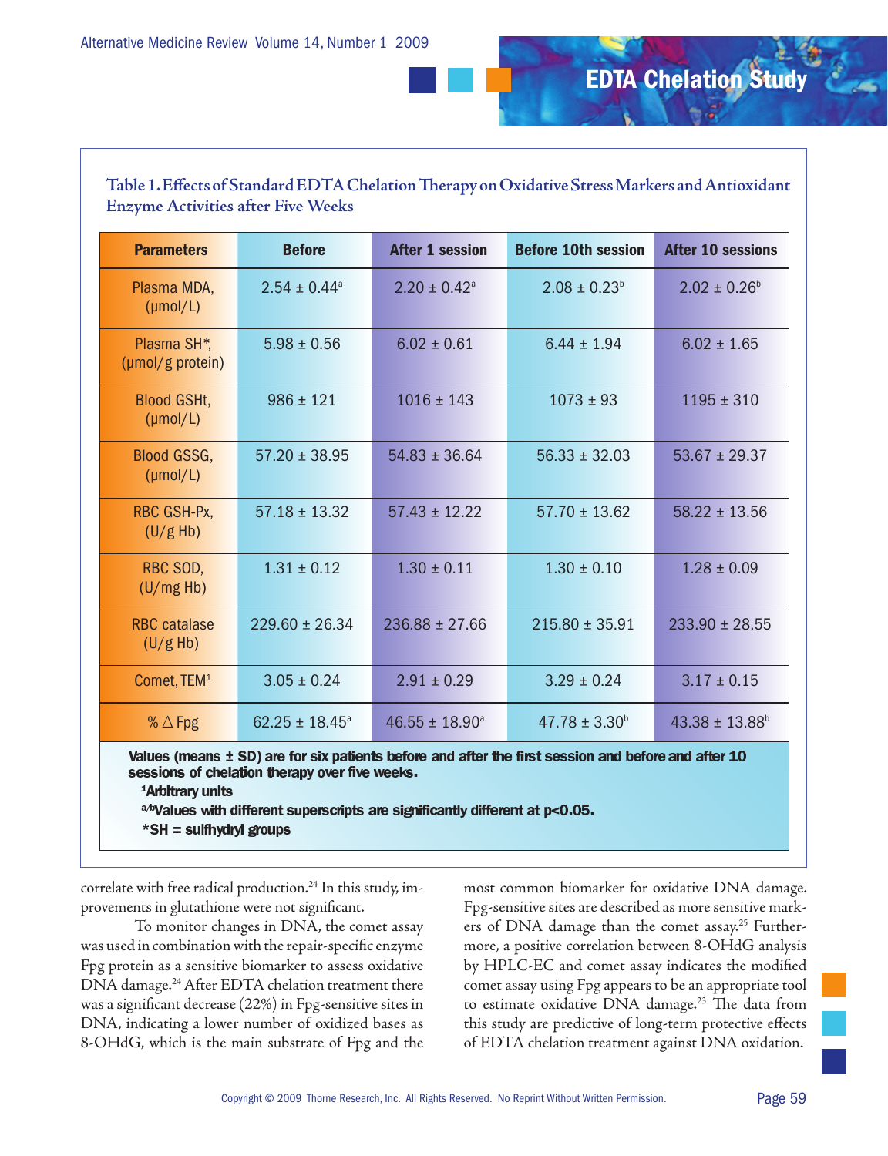# EDTA Chelation Study

## **Table 1. Effects of Standard EDTA Chelation Therapy on Oxidative Stress Markers and Antioxidant Enzyme Activities after Five Weeks**

| <b>Parameters</b>                                                                                   | <b>Before</b>                | <b>After 1 session</b>       | <b>Before 10th session</b> | <b>After 10 sessions</b>       |  |  |
|-----------------------------------------------------------------------------------------------------|------------------------------|------------------------------|----------------------------|--------------------------------|--|--|
| Plasma MDA,<br>$(\mu \text{mol/L})$                                                                 | $2.54 \pm 0.44$ <sup>a</sup> | $2.20 \pm 0.42$ <sup>a</sup> | $2.08 \pm 0.23^b$          | $2.02 \pm 0.26^b$              |  |  |
| Plasma SH <sup>*</sup> ,<br>(µmol/g protein)                                                        | $5.98 \pm 0.56$              | $6.02 \pm 0.61$              | $6.44 \pm 1.94$            | $6.02 \pm 1.65$                |  |  |
| <b>Blood GSHt,</b><br>$(\mu \text{mol/L})$                                                          | $986 \pm 121$                | $1016 \pm 143$               | $1073 \pm 93$              | $1195 \pm 310$                 |  |  |
| <b>Blood GSSG,</b><br>$(\mu \text{mol/L})$                                                          | $57.20 \pm 38.95$            | $54.83 \pm 36.64$            | $56.33 \pm 32.03$          | $53.67 \pm 29.37$              |  |  |
| RBC GSH-Px,<br>(U/g Hb)                                                                             | $57.18 \pm 13.32$            | $57.43 \pm 12.22$            | $57.70 \pm 13.62$          | $58.22 \pm 13.56$              |  |  |
| RBC SOD,<br>(U/mg Hb)                                                                               | $1.31 \pm 0.12$              | $1.30 \pm 0.11$              | $1.30 \pm 0.10$            | $1.28 \pm 0.09$                |  |  |
| <b>RBC</b> catalase<br>(U/g Hb)                                                                     | $229.60 \pm 26.34$           | $236.88 \pm 27.66$           | $215.80 \pm 35.91$         | $233.90 \pm 28.55$             |  |  |
| Comet, TEM <sup>1</sup>                                                                             | $3.05 \pm 0.24$              | $2.91 \pm 0.29$              | $3.29 \pm 0.24$            | $3.17 \pm 0.15$                |  |  |
| % $\triangle$ Fpg                                                                                   | $62.25 \pm 18.45^{\circ}$    | $46.55 \pm 18.90^a$          | $47.78 \pm 3.30^b$         | $43.38 \pm 13.88$ <sup>b</sup> |  |  |
| Values (means ± SD) are for six patients before and after the first session and before and after 10 |                              |                              |                            |                                |  |  |

sessions of chelation therapy over five weeks.

<sup>1</sup>Arbitrary units

a/bValues with different superscripts are significantly different at p<0.05. \*SH = sulfhydryl groups

correlate with free radical production.<sup>24</sup> In this study, improvements in glutathione were not significant.

To monitor changes in DNA, the comet assay was used in combination with the repair-specific enzyme Fpg protein as a sensitive biomarker to assess oxidative DNA damage.24 After EDTA chelation treatment there was a significant decrease (22%) in Fpg-sensitive sites in DNA, indicating a lower number of oxidized bases as 8-OHdG, which is the main substrate of Fpg and the most common biomarker for oxidative DNA damage. Fpg-sensitive sites are described as more sensitive markers of DNA damage than the comet assay.<sup>25</sup> Furthermore, a positive correlation between 8-OHdG analysis by HPLC-EC and comet assay indicates the modified comet assay using Fpg appears to be an appropriate tool to estimate oxidative DNA damage.<sup>23</sup> The data from this study are predictive of long-term protective effects of EDTA chelation treatment against DNA oxidation.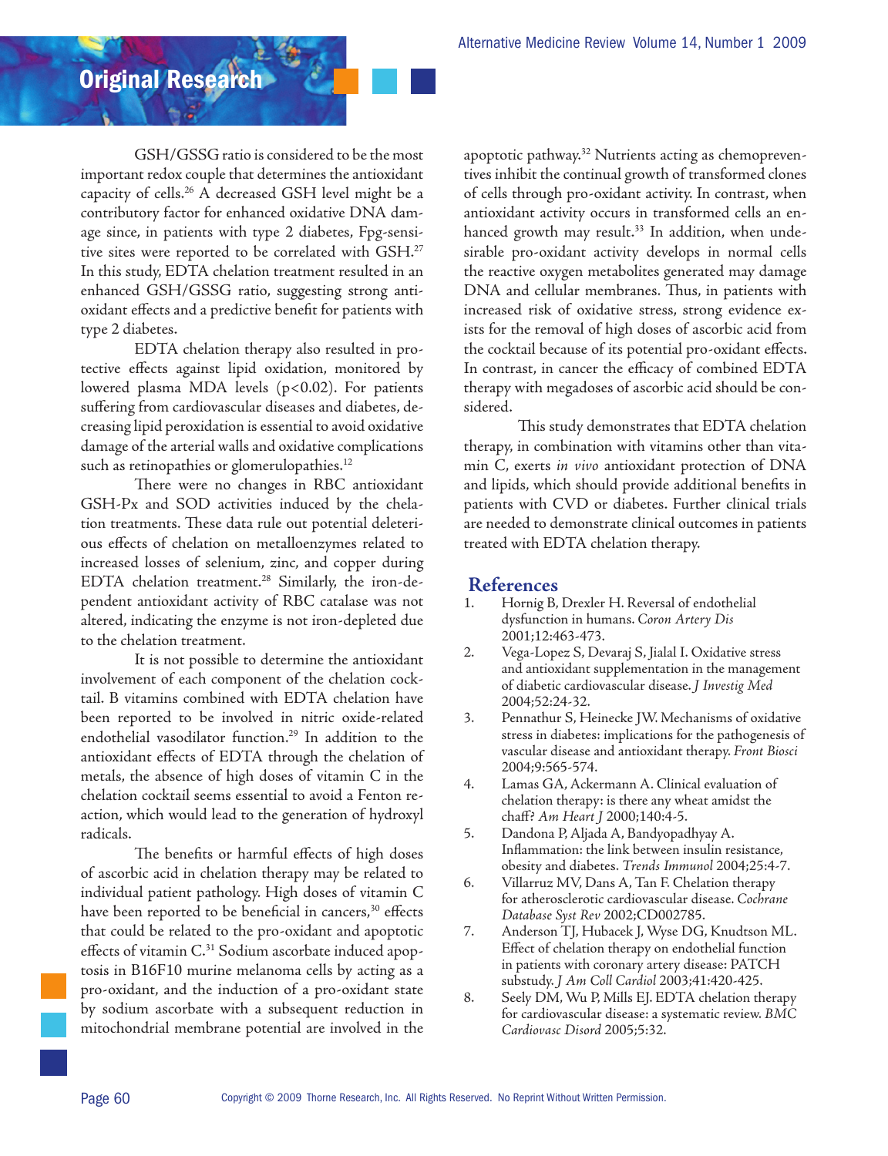Original Research

GSH/GSSG ratio is considered to be the most important redox couple that determines the antioxidant capacity of cells.26 A decreased GSH level might be a contributory factor for enhanced oxidative DNA damage since, in patients with type 2 diabetes, Fpg-sensitive sites were reported to be correlated with GSH.27 In this study, EDTA chelation treatment resulted in an enhanced GSH/GSSG ratio, suggesting strong antioxidant effects and a predictive benefit for patients with type 2 diabetes.

EDTA chelation therapy also resulted in protective effects against lipid oxidation, monitored by lowered plasma MDA levels  $(p<0.02)$ . For patients suffering from cardiovascular diseases and diabetes, decreasing lipid peroxidation is essential to avoid oxidative damage of the arterial walls and oxidative complications such as retinopathies or glomerulopathies.<sup>12</sup>

There were no changes in RBC antioxidant GSH-Px and SOD activities induced by the chelation treatments. These data rule out potential deleterious effects of chelation on metalloenzymes related to increased losses of selenium, zinc, and copper during EDTA chelation treatment.<sup>28</sup> Similarly, the iron-dependent antioxidant activity of RBC catalase was not altered, indicating the enzyme is not iron-depleted due to the chelation treatment.

It is not possible to determine the antioxidant involvement of each component of the chelation cocktail. B vitamins combined with EDTA chelation have been reported to be involved in nitric oxide-related endothelial vasodilator function.<sup>29</sup> In addition to the antioxidant effects of EDTA through the chelation of metals, the absence of high doses of vitamin C in the chelation cocktail seems essential to avoid a Fenton reaction, which would lead to the generation of hydroxyl radicals.

The benefits or harmful effects of high doses of ascorbic acid in chelation therapy may be related to individual patient pathology. High doses of vitamin C have been reported to be beneficial in cancers,<sup>30</sup> effects that could be related to the pro-oxidant and apoptotic effects of vitamin C.<sup>31</sup> Sodium ascorbate induced apoptosis in B16F10 murine melanoma cells by acting as a pro-oxidant, and the induction of a pro-oxidant state by sodium ascorbate with a subsequent reduction in mitochondrial membrane potential are involved in the apoptotic pathway.<sup>32</sup> Nutrients acting as chemopreventives inhibit the continual growth of transformed clones of cells through pro-oxidant activity. In contrast, when antioxidant activity occurs in transformed cells an enhanced growth may result.<sup>33</sup> In addition, when undesirable pro-oxidant activity develops in normal cells the reactive oxygen metabolites generated may damage DNA and cellular membranes. Thus, in patients with increased risk of oxidative stress, strong evidence exists for the removal of high doses of ascorbic acid from the cocktail because of its potential pro-oxidant effects. In contrast, in cancer the efficacy of combined EDTA therapy with megadoses of ascorbic acid should be considered.

This study demonstrates that EDTA chelation therapy, in combination with vitamins other than vitamin C, exerts *in vivo* antioxidant protection of DNA and lipids, which should provide additional benefits in patients with CVD or diabetes. Further clinical trials are needed to demonstrate clinical outcomes in patients treated with EDTA chelation therapy.

### **References**

- 1. Hornig B, Drexler H. Reversal of endothelial dysfunction in humans. *Coron Artery Dis* 2001;12:463-473.
- 2. Vega-Lopez S, Devaraj S, Jialal I. Oxidative stress and antioxidant supplementation in the management of diabetic cardiovascular disease. *J Investig Med* 2004;52:24-32.
- 3. Pennathur S, Heinecke JW. Mechanisms of oxidative stress in diabetes: implications for the pathogenesis of vascular disease and antioxidant therapy. *Front Biosci* 2004;9:565-574.
- 4. Lamas GA, Ackermann A. Clinical evaluation of chelation therapy: is there any wheat amidst the chaff? *Am Heart J* 2000;140:4-5.
- 5. Dandona P, Aljada A, Bandyopadhyay A. Inflammation: the link between insulin resistance, obesity and diabetes. *Trends Immunol* 2004;25:4-7.
- 6. Villarruz MV, Dans A, Tan F. Chelation therapy for atherosclerotic cardiovascular disease. *Cochrane Database Syst Rev* 2002;CD002785.
- 7. Anderson TJ, Hubacek J, Wyse DG, Knudtson ML. Effect of chelation therapy on endothelial function in patients with coronary artery disease: PATCH substudy. *J Am Coll Cardiol* 2003;41:420-425.
- 8. Seely DM, Wu P, Mills EJ. EDTA chelation therapy for cardiovascular disease: a systematic review. *BMC Cardiovasc Disord* 2005;5:32.